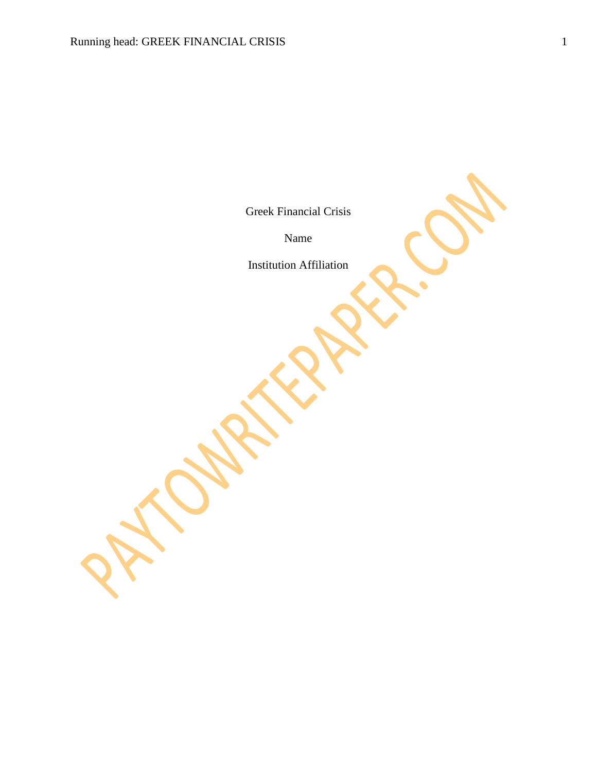Greek Financial Crisis

Name

Institution Affiliation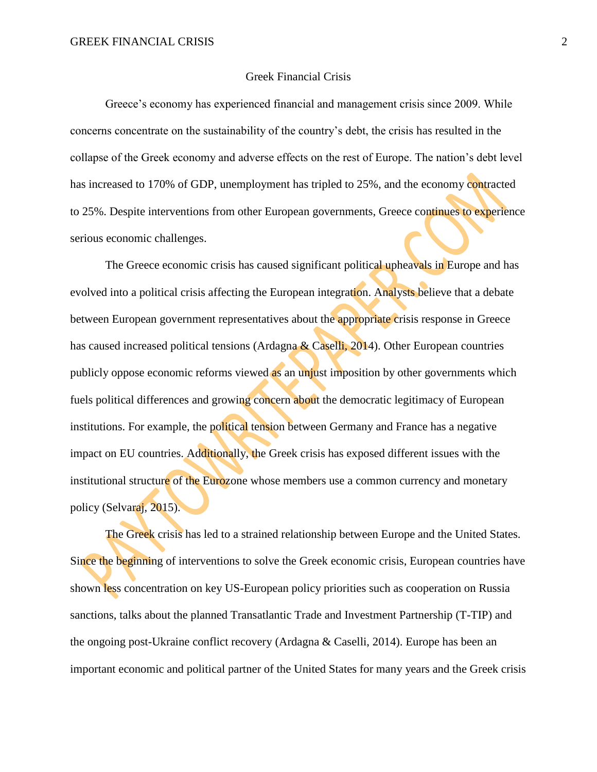## Greek Financial Crisis

Greece's economy has experienced financial and management crisis since 2009. While concerns concentrate on the sustainability of the country's debt, the crisis has resulted in the collapse of the Greek economy and adverse effects on the rest of Europe. The nation's debt level has increased to 170% of GDP, unemployment has tripled to 25%, and the economy contracted to 25%. Despite interventions from other European governments, Greece continues to experience serious economic challenges.

The Greece economic crisis has caused significant political upheavals in Europe and has evolved into a political crisis affecting the European integration. Analysts believe that a debate between European government representatives about the appropriate crisis response in Greece has caused increased political tensions (Ardagna  $\&$  Caselli, 2014). Other European countries publicly oppose economic reforms viewed as an unjust imposition by other governments which fuels political differences and growing concern about the democratic legitimacy of European institutions. For example, the political tension between Germany and France has a negative impact on EU countries. Additionally, the Greek crisis has exposed different issues with the institutional structure of the Eurozone whose members use a common currency and monetary policy (Selvaraj, 2015).

The Greek crisis has led to a strained relationship between Europe and the United States. Since the beginning of interventions to solve the Greek economic crisis, European countries have shown less concentration on key US-European policy priorities such as cooperation on Russia sanctions, talks about the planned Transatlantic Trade and Investment Partnership (T-TIP) and the ongoing post-Ukraine conflict recovery (Ardagna & Caselli, 2014). Europe has been an important economic and political partner of the United States for many years and the Greek crisis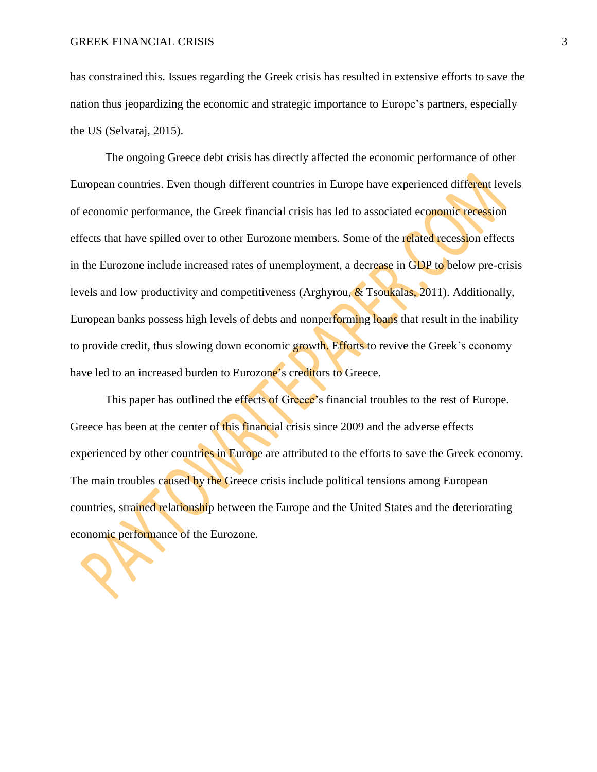has constrained this. Issues regarding the Greek crisis has resulted in extensive efforts to save the nation thus jeopardizing the economic and strategic importance to Europe's partners, especially the US (Selvaraj, 2015).

The ongoing Greece debt crisis has directly affected the economic performance of other European countries. Even though different countries in Europe have experienced different levels of economic performance, the Greek financial crisis has led to associated economic recession effects that have spilled over to other Eurozone members. Some of the related recession effects in the Eurozone include increased rates of unemployment, a decrease in GDP to below pre-crisis levels and low productivity and competitiveness (Arghyrou,  $\&$  Tsoukalas, 2011). Additionally, European banks possess high levels of debts and nonperforming loans that result in the inability to provide credit, thus slowing down economic growth. Efforts to revive the Greek's economy have led to an increased burden to Eurozone's creditors to Greece.

This paper has outlined the effects of Greece's financial troubles to the rest of Europe. Greece has been at the center of this financial crisis since 2009 and the adverse effects experienced by other countries in Europe are attributed to the efforts to save the Greek economy. The main troubles caused by the Greece crisis include political tensions among European countries, strained relationship between the Europe and the United States and the deteriorating economic performance of the Eurozone.